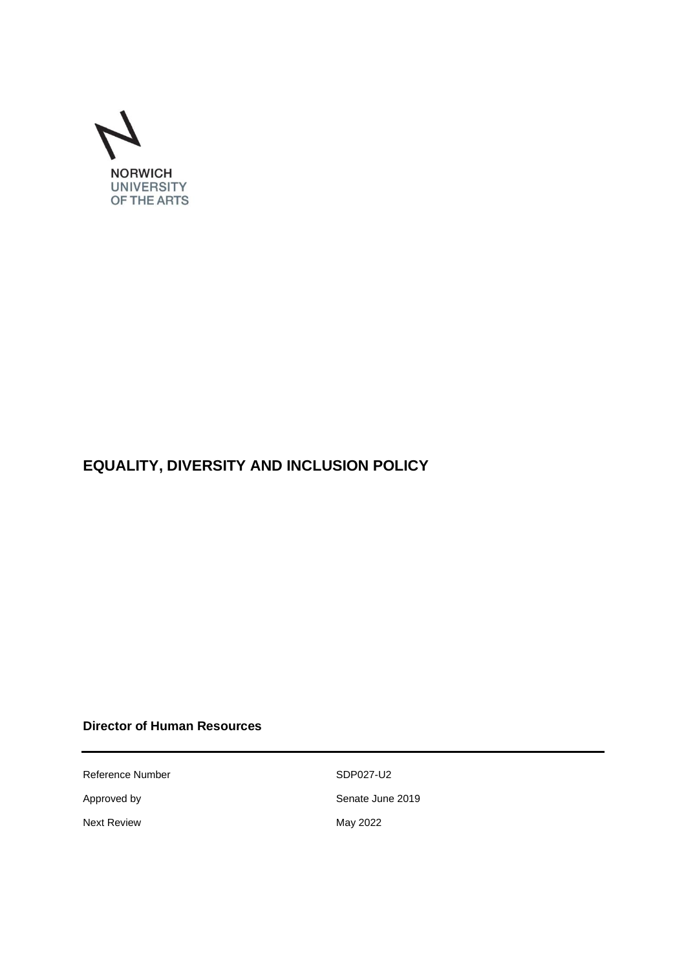

# **EQUALITY, DIVERSITY AND INCLUSION POLICY**

# **Director of Human Resources**

Reference Number SDP027-U2

Next Review **May 2022** 

Approved by Senate June 2019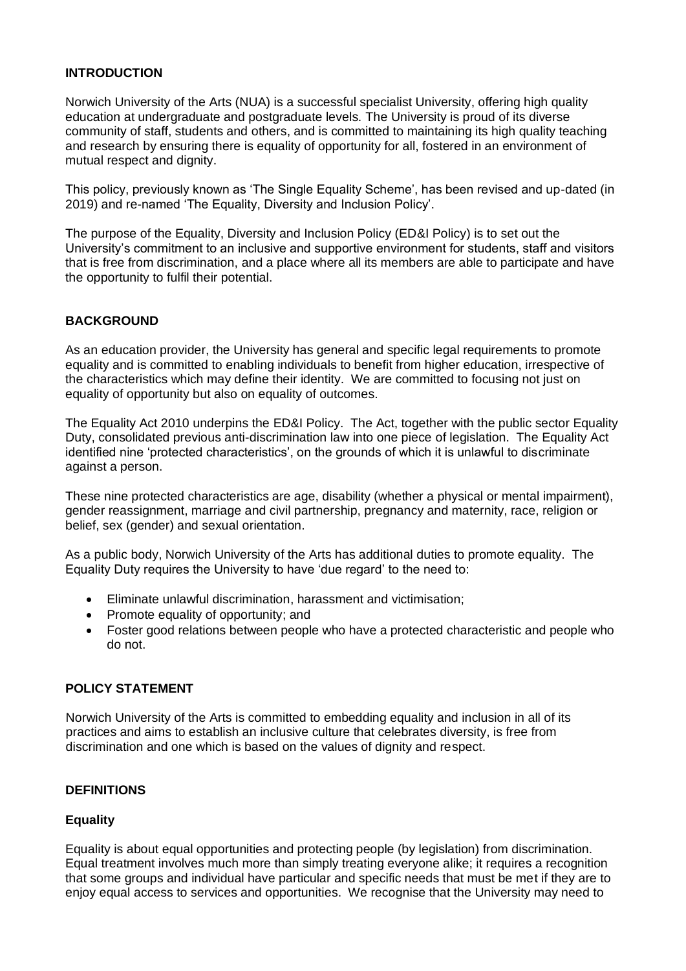#### **INTRODUCTION**

Norwich University of the Arts (NUA) is a successful specialist University, offering high quality education at undergraduate and postgraduate levels. The University is proud of its diverse community of staff, students and others, and is committed to maintaining its high quality teaching and research by ensuring there is equality of opportunity for all, fostered in an environment of mutual respect and dignity.

This policy, previously known as 'The Single Equality Scheme', has been revised and up-dated (in 2019) and re-named 'The Equality, Diversity and Inclusion Policy'.

The purpose of the Equality, Diversity and Inclusion Policy (ED&I Policy) is to set out the University's commitment to an inclusive and supportive environment for students, staff and visitors that is free from discrimination, and a place where all its members are able to participate and have the opportunity to fulfil their potential.

# **BACKGROUND**

As an education provider, the University has general and specific legal requirements to promote equality and is committed to enabling individuals to benefit from higher education, irrespective of the characteristics which may define their identity. We are committed to focusing not just on equality of opportunity but also on equality of outcomes.

The Equality Act 2010 underpins the ED&I Policy. The Act, together with the public sector Equality Duty, consolidated previous anti-discrimination law into one piece of legislation. The Equality Act identified nine 'protected characteristics', on the grounds of which it is unlawful to discriminate against a person.

These nine protected characteristics are age, disability (whether a physical or mental impairment), gender reassignment, marriage and civil partnership, pregnancy and maternity, race, religion or belief, sex (gender) and sexual orientation.

As a public body, Norwich University of the Arts has additional duties to promote equality. The Equality Duty requires the University to have 'due regard' to the need to:

- Eliminate unlawful discrimination, harassment and victimisation;
- Promote equality of opportunity; and
- Foster good relations between people who have a protected characteristic and people who do not.

# **POLICY STATEMENT**

Norwich University of the Arts is committed to embedding equality and inclusion in all of its practices and aims to establish an inclusive culture that celebrates diversity, is free from discrimination and one which is based on the values of dignity and respect.

#### **DEFINITIONS**

#### **Equality**

Equality is about [equal](https://www.differencebetween.com/difference-between-equal-and-vs-equivalent/) opportunities and protecting people (by legislation) from discrimination. Equal treatment involves much more than simply treating everyone alike; it requires a recognition that some groups and individual have particular and specific needs that must be met if they are to enjoy equal access to services and opportunities. We recognise that the University may need to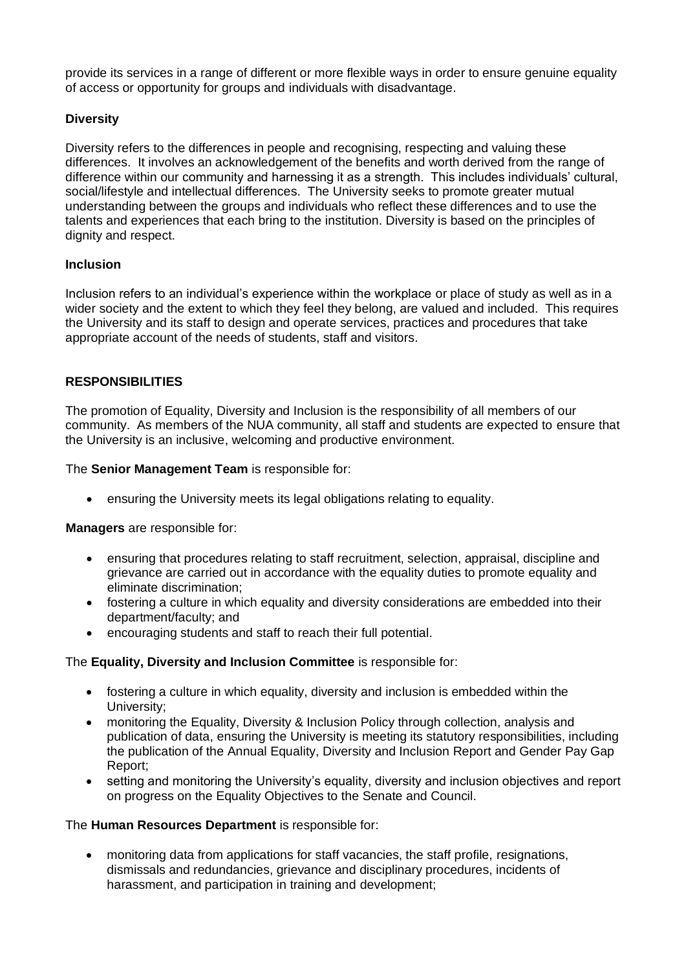provide its services in a range of different or more flexible ways in order to ensure genuine equality of access or opportunity for groups and individuals with disadvantage.

# **Diversity**

Diversity refers to the differences in people and recognising, respecting and valuing these differences. It involves an acknowledgement of the benefits and worth derived from the range of difference within our community and harnessing it as a strength. This includes individuals' cultural, social/lifestyle and intellectual differences. The University seeks to promote greater mutual understanding between the groups and individuals who reflect these differences and to use the talents and experiences that each bring to the institution. Diversity is based on the principles of dignity and respect.

#### **Inclusion**

Inclusion refers to an individual's experience within the workplace or place of study as well as in a wider society and the extent to which they feel they belong, are valued and included. This requires the University and its staff to design and operate services, practices and procedures that take appropriate account of the needs of students, staff and visitors.

# **RESPONSIBILITIES**

The promotion of Equality, Diversity and Inclusion is the responsibility of all members of our community. As members of the NUA community, all staff and students are expected to ensure that the University is an inclusive, welcoming and productive environment.

The **Senior Management Team** is responsible for:

• ensuring the University meets its legal obligations relating to equality.

**Managers** are responsible for:

- ensuring that procedures relating to staff recruitment, selection, appraisal, discipline and grievance are carried out in accordance with the equality duties to promote equality and eliminate discrimination;
- fostering a culture in which equality and diversity considerations are embedded into their department/faculty; and
- encouraging students and staff to reach their full potential.

#### The **Equality, Diversity and Inclusion Committee** is responsible for:

- fostering a culture in which equality, diversity and inclusion is embedded within the University;
- monitoring the Equality, Diversity & Inclusion Policy through collection, analysis and publication of data, ensuring the University is meeting its statutory responsibilities, including the publication of the Annual Equality, Diversity and Inclusion Report and Gender Pay Gap Report;
- setting and monitoring the University's equality, diversity and inclusion objectives and report on progress on the Equality Objectives to the Senate and Council.

#### The **Human Resources Department** is responsible for:

• monitoring data from applications for staff vacancies, the staff profile, resignations, dismissals and redundancies, grievance and disciplinary procedures, incidents of harassment, and participation in training and development;